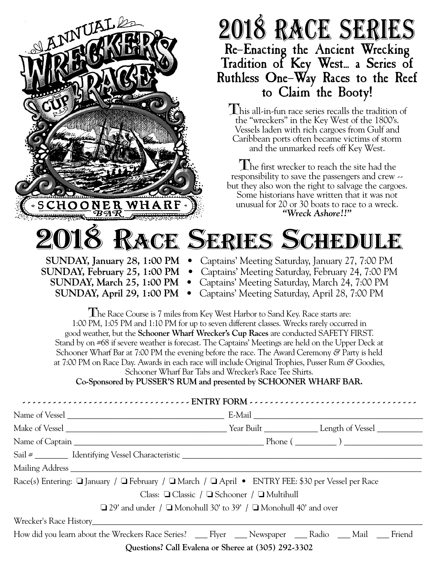

Class: ❏ Classic / ❏ Schooner / ❏ Multihull

❏ 29' and under / ❏ Monohull 30' to 39' / ❏ Monohull 40' and over

Wrecker's Race History\_\_\_\_\_\_\_\_\_\_\_\_\_\_\_\_\_\_\_\_\_\_\_\_\_\_\_\_\_\_\_\_\_\_\_\_\_\_\_\_\_\_\_\_\_\_\_\_\_\_\_\_\_\_\_\_\_\_\_\_\_\_\_\_\_\_\_\_\_\_\_\_\_\_\_\_\_\_\_\_

How did you learn about the Wreckers Race Series? \_\_\_ Flyer \_\_\_ Newspaper \_\_\_ Radio \_\_\_ Mail \_\_\_ Friend

**Questions? Call Evalena or Sheree at (305) 292-3302**